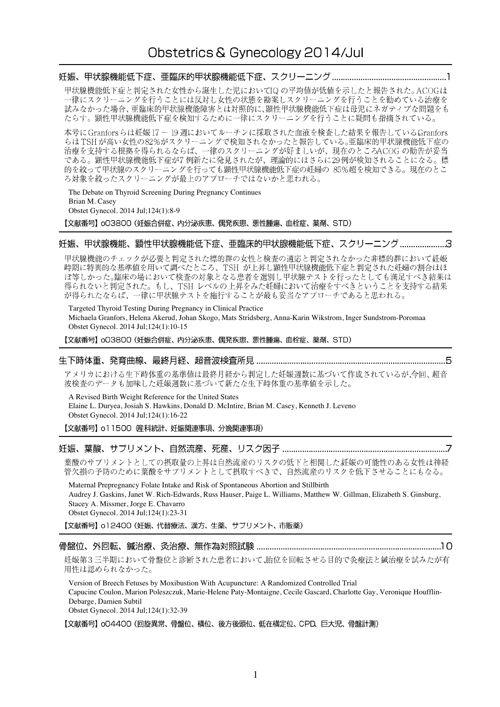# 

甲状腺機能低下症と判定された女性から誕生した児においてIQの平均値が低値を示したと報告された。ACOGは 一律にスクリーニングを行うことには反対し女性の状態を勘案しスクリーニングを行うことを勧めている治療を 試みなかった場合、亜臨床的甲状腺機能障害とは対照的に、顕性甲状腺機能低下症は母児にネガティブな問題をも たらす。顕性甲状腺機能低下症を検知するために一律にスクリーニングを行うことに疑問も指摘されている。

本号に Granforsらは妊娠17~19 週においてルーチンに採取された血液を検査した結果を報告しているGranfors らはTSHが高い女性の82%がスクリーニングで検知されなかったと報告している。亜臨床的甲状腺機能低下症の って 1511.8 13 - ストンシン・バンクライ、一年のスクリーニングが好ましいが、現在のところACOG の勧告が妥当<br>治療を支持する根拠を得られるならば、一律のスクリーニングが好ましいが、現在のところACOG の勧告が妥当<br>である。顕性甲状腺機能低下症が7 例新たに発見されたが、理論的にはさらに29 例が検知されることになる。標 的を絞って甲状腺のスクリーニングを行っても顕性甲状腺機能低下症の妊婦の 85%超を検知できる。現在のとこ ろ対象を絞ったスクリーニングが最上のアプローチではないかと思われる。

The Debate on Thyroid Screening During Pregnancy Continues Brian M. Casey Obstet Gynecol. 2014 Jul;124(1):8-9

【文献番号】oO3800 (妊娠合併症、内分泌疾患、偶発疾患、悪性腫瘍、血栓症、薬剤、STD)

# 妊娠、甲状腺機能、顕性甲状腺機能低下症、亜臨床的甲状腺機能低下症、スクリーニング .....................3

甲状腺機能のチェックが必要と判定された標的群の女性と検査の適応と判定されなかった非標的群において妊娠 時期に特異的な基準値を用いて調べたところ、TSH が上昇し顕性甲状腺機能低下症と判定された妊婦の割合はほ が得られたならば、一律に甲状腺テストを施行することが最も妥当なアプローチであると思われる。

Targeted Thyroid Testing During Pregnancy in Clinical Practice Michaela Granfors, Helena Akerud, Johan Skogo, Mats Stridsberg, Anna-Karin Wikstrom, Inger Sundstrom-Poromaa Obstet Gynecol. 2014 Jul;124(1):10-15

【文献番号】 oO3800 (妊娠合併症、内分泌疾患、偶発疾患、悪性腫瘍、血栓症、薬剤、STD)

#### 

アメリカにおける生下時体重の基準値は最終月経から判定した妊娠週数に基づいて作成されているが、今回、超音 波検査のデータも加味した妊娠週数に基づいて新たな生下時体重の基準値を示した。

A Revised Birth Weight Reference for the United States Elaine L. Duryea, Josiah S. Hawkins, Donald D. McIntire, Brian M. Casey, Kenneth J. Leveno Obstet Gynecol. 2014 Jul;124(1):16-22

# 

葉酸のサプリメントとしての摂取量の上昇は自然流産のリスクの低下と相関した研娠の可能性のある女性は神経 管欠損の予防のために葉酸をサプリメントとして摂取すべきで、自然流産のリスクを低下させることにもなる。

Maternal Prepregnancy Folate Intake and Risk of Spontaneous Abortion and Stillbirth Audrey J. Gaskins, Janet W. Rich-Edwards, Russ Hauser, Paige L. Williams, Matthew W. Gillman, Elizabeth S. Ginsburg, Stacey A. Missmer, Jorge E. Chavarro Obstet Gynecol. 2014 Jul;124(1):23-31

【文献番号】 o12400 (妊娠、代替療法、漢方、生薬、サプリメント、市販薬)

### 

妊娠第3三半期において骨盤位と診断された患者において、胎位を回転させる目的で灸療法と鍼治療を試みたが有 用性は認められなかった。

Version of Breech Fetuses by Moxibustion With Acupuncture: A Randomized Controlled Trial Capucine Coulon, Marion Poleszczuk, Marie-Helene Paty-Montaigne, Cecile Gascard, Charlotte Gay, Veronique Houfflin-Debarge, Damien Subtil

Obstet Gynecol. 2014 Jul;124(1):32-39

【文献番号】 oO4400 (回旋異常、骨盤位、横位、後方後頭位、低在横定位、CPD、巨大児、骨盤計測)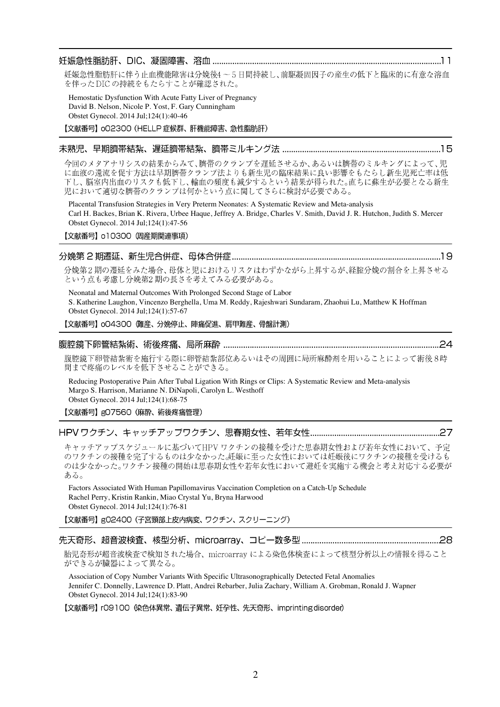#### 

妊娠急性脂肪肝に伴う止血機能障害は分娩後4~5日間持続し、前駆凝固因子の産生の低下と臨床的に有意な溶血 を伴ったDICの持続をもたらすことが確認された。

Hemostatic Dysfunction With Acute Fatty Liver of Pregnancy David B. Nelson, Nicole P. Yost, F. Gary Cunningham Obstet Gynecol. 2014 Jul;124(1):40-46

【文献番号】 oO2300 (HELLP 症候群、肝機能障害、急性脂肪肝)

#### 

今回のメタアナリシスの結果からみて、臍帯のクランプを遅延させるか、あるいは臍帯のミルキングによって、児 に血液の還流を促す方法は早期臍帯クランプ法よりも新生児の臨床結果に良い影響をもたらし新生児死亡率は低 下し、脳室内出血のリスクも低下し、輸血の頻度も減少するという結果が得られた。直ちに蘇生が必要となる新生 児において適切な臍帯のクランプは何かという点に関してさらに検討が必要である。

Placental Transfusion Strategies in Very Preterm Neonates: A Systematic Review and Meta-analysis Carl H. Backes, Brian K. Rivera, Urbee Haque, Jeffrey A. Bridge, Charles V. Smith, David J. R. Hutchon, Judith S. Mercer Obstet Gynecol. 2014 Jul;124(1):47-56

# 【文献番号】 o10300 (周産期関連事項)

# 

分娩第2期の遷延をみた場合、母体と児におけるリスクはわずかながら上昇するが、経腟分娩の割合を上昇させる という点も考慮し分娩第2期の長さを考えてみる必要がある。

Neonatal and Maternal Outcomes With Prolonged Second Stage of Labor S. Katherine Laughon, Vincenzo Berghella, Uma M. Reddy, Rajeshwari Sundaram, Zhaohui Lu, Matthew K Hoffman Obstet Gynecol. 2014 Jul;124(1):57-67

【文献番号】 004300 (難産、分娩停止、陣痛促進、肩甲難産、骨盤計測)

# 

腹腔鏡下卵管結紮術を施行する際に卵管結紮部位あるいはその周囲に局所麻酔剤を用いることによって術後8時 間まで疼痛のレベルを低下させることができる。

Reducing Postoperative Pain After Tubal Ligation With Rings or Clips: A Systematic Review and Meta-analysis Margo S. Harrison, Marianne N. DiNapoli, Carolyn L. Westhoff Obstet Gynecol. 2014 Jul;124(1):68-75

【文献番号】gO7560 (麻酔、術後疼痛管理)

### 

キャッチアップスケジュールに基づいてHPVワクチンの接種を受けた思春期女性および若年女性において、予定 のワクチンの接種を完了するものは少なかった。妊娠に至った女性においては妊娠後にワクチンの接種を受けるも のは少なかった。ワクチン接種の開始は思春期女性や若年女性において避妊を実施する機会と考え対応する必要が ある。

Factors Associated With Human Papillomavirus Vaccination Completion on a Catch-Up Schedule Rachel Perry, Kristin Rankin, Miao Crystal Yu, Bryna Harwood Obstet Gynecol. 2014 Jul;124(1):76-81

【文献番号】g02400 (子宮頸部上皮内病変、ワクチン、スクリーニング)

# 

胎児奇形が超音波検査で検知された場合、microarray による染色体検査によって核型分析以上の情報を得ること ができるが臓器によって異なる。

Association of Copy Number Variants With Specific Ultrasonographically Detected Fetal Anomalies Jennifer C. Donnelly, Lawrence D. Platt, Andrei Rebarber, Julia Zachary, William A. Grobman, Ronald J. Wapner Obstet Gynecol. 2014 Jul;124(1):83-90

【文献番号】 rO9100 《染色体異常、遺伝子異常、妊孕性、先天奇形、imprintingdisorder)